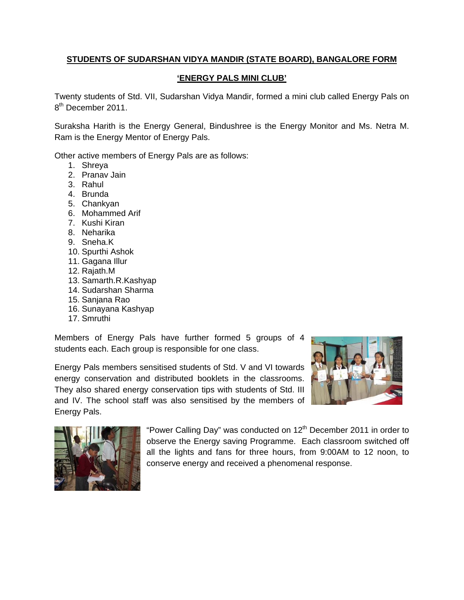## **STUDENTS OF SUDARSHAN VIDYA MANDIR (STATE BOARD), BANGALORE FORM**

## **'ENERGY PALS MINI CLUB'**

Twenty students of Std. VII, Sudarshan Vidya Mandir, formed a mini club called Energy Pals on 8<sup>th</sup> December 2011.

Suraksha Harith is the Energy General, Bindushree is the Energy Monitor and Ms. Netra M. Ram is the Energy Mentor of Energy Pals.

Other active members of Energy Pals are as follows:

- 1. Shreya
- 2. Pranav Jain
- 3. Rahul
- 4. Brunda
- 5. Chankyan
- 6. Mohammed Arif
- 7. Kushi Kiran
- 8. Neharika
- 9. Sneha.K
- 10. Spurthi Ashok
- 11. Gagana Illur
- 12. Rajath.M
- 13. Samarth.R.Kashyap
- 14. Sudarshan Sharma
- 15. Sanjana Rao
- 16. Sunayana Kashyap
- 17. Smruthi

Members of Energy Pals have further formed 5 groups of 4 students each. Each group is responsible for one class.

Energy Pals members sensitised students of Std. V and VI towards energy conservation and distributed booklets in the classrooms. They also shared energy conservation tips with students of Std. III and IV. The school staff was also sensitised by the members of Energy Pals.





"Power Calling Day" was conducted on  $12<sup>th</sup>$  December 2011 in order to observe the Energy saving Programme. Each classroom switched off all the lights and fans for three hours, from 9:00AM to 12 noon, to conserve energy and received a phenomenal response.